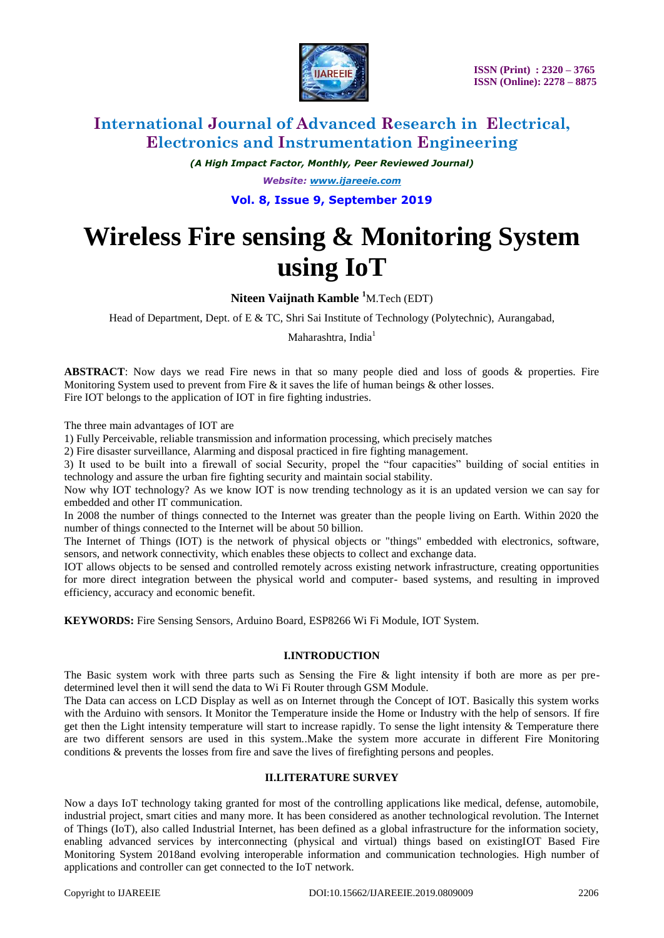

*(A High Impact Factor, Monthly, Peer Reviewed Journal) Website: [www.ijareeie.com](http://www.ijareeie.com/)* **Vol. 8, Issue 9, September 2019**

# **Wireless Fire sensing & Monitoring System using IoT**

### **Niteen Vaijnath Kamble <sup>1</sup>**M.Tech (EDT)

Head of Department, Dept. of E & TC, Shri Sai Institute of Technology (Polytechnic), Aurangabad,

Maharashtra. India<sup>1</sup>

**ABSTRACT**: Now days we read Fire news in that so many people died and loss of goods & properties. Fire Monitoring System used to prevent from Fire & it saves the life of human beings & other losses. Fire IOT belongs to the application of IOT in fire fighting industries.

The three main advantages of IOT are

1) Fully Perceivable, reliable transmission and information processing, which precisely matches

2) Fire disaster surveillance, Alarming and disposal practiced in fire fighting management.

3) It used to be built into a firewall of social Security, propel the "four capacities" building of social entities in technology and assure the urban fire fighting security and maintain social stability.

Now why IOT technology? As we know IOT is now trending technology as it is an updated version we can say for embedded and other IT communication.

In 2008 the number of things connected to the Internet was greater than the people living on Earth. Within 2020 the number of things connected to the Internet will be about 50 billion.

The Internet of Things (IOT) is the network of physical objects or "things" embedded with electronics, software, sensors, and network connectivity, which enables these objects to collect and exchange data.

IOT allows objects to be sensed and controlled remotely across existing network infrastructure, creating opportunities for more direct integration between the physical world and computer- based systems, and resulting in improved efficiency, accuracy and economic benefit.

**KEYWORDS:** Fire Sensing Sensors, Arduino Board, ESP8266 Wi Fi Module, IOT System.

#### **I.INTRODUCTION**

The Basic system work with three parts such as Sensing the Fire & light intensity if both are more as per predetermined level then it will send the data to Wi Fi Router through GSM Module.

The Data can access on LCD Display as well as on Internet through the Concept of IOT. Basically this system works with the Arduino with sensors. It Monitor the Temperature inside the Home or Industry with the help of sensors. If fire get then the Light intensity temperature will start to increase rapidly. To sense the light intensity & Temperature there are two different sensors are used in this system..Make the system more accurate in different Fire Monitoring conditions & prevents the losses from fire and save the lives of firefighting persons and peoples.

#### **II.LITERATURE SURVEY**

Now a days IoT technology taking granted for most of the controlling applications like medical, defense, automobile, industrial project, smart cities and many more. It has been considered as another technological revolution. The Internet of Things (IoT), also called Industrial Internet, has been defined as a global infrastructure for the information society, enabling advanced services by interconnecting (physical and virtual) things based on existingIOT Based Fire Monitoring System 2018and evolving interoperable information and communication technologies. High number of applications and controller can get connected to the IoT network.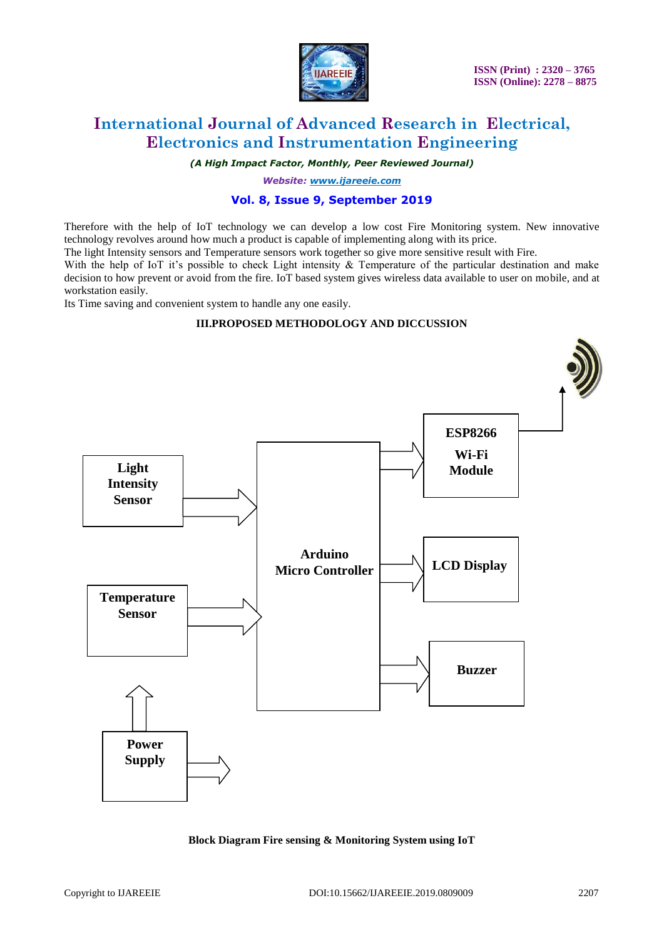

 **ISSN (Print) : 2320 – 3765 ISSN (Online): 2278 – 8875**

# **International Journal of Advanced Research in Electrical, Electronics and Instrumentation Engineering**

*(A High Impact Factor, Monthly, Peer Reviewed Journal)*

*Website: [www.ijareeie.com](http://www.ijareeie.com/)*

### **Vol. 8, Issue 9, September 2019**

Therefore with the help of IoT technology we can develop a low cost Fire Monitoring system. New innovative technology revolves around how much a product is capable of implementing along with its price.

The light Intensity sensors and Temperature sensors work together so give more sensitive result with Fire.

With the help of IoT it's possible to check Light intensity  $\&$  Temperature of the particular destination and make decision to how prevent or avoid from the fire. IoT based system gives wireless data available to user on mobile, and at workstation easily.

Its Time saving and convenient system to handle any one easily.

#### **III.PROPOSED METHODOLOGY AND DICCUSSION**



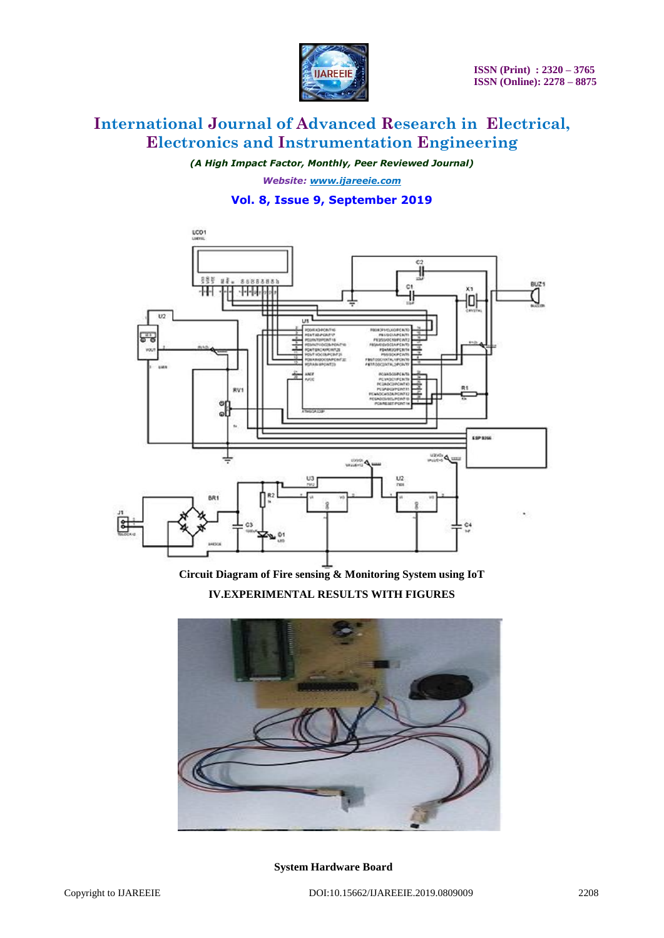

*(A High Impact Factor, Monthly, Peer Reviewed Journal) Website: [www.ijareeie.com](http://www.ijareeie.com/)* **Vol. 8, Issue 9, September 2019**



**Circuit Diagram of Fire sensing & Monitoring System using IoT**

**IV.EXPERIMENTAL RESULTS WITH FIGURES**



**System Hardware Board**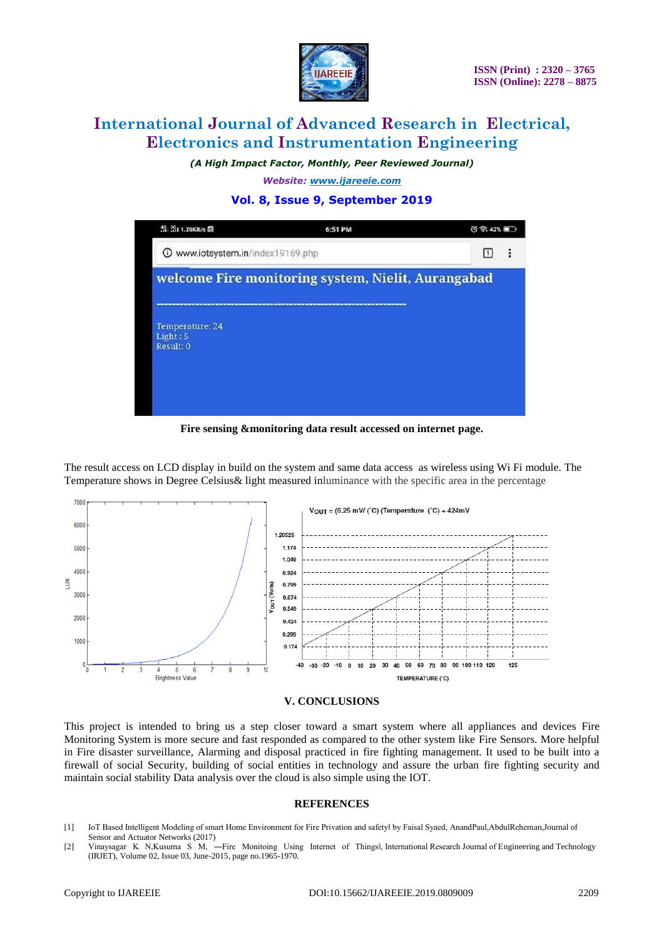

*(A High Impact Factor, Monthly, Peer Reviewed Journal)*

*Website: [www.ijareeie.com](http://www.ijareeie.com/)*

### **Vol. 8, Issue 9, September 2019**

| \$ 31 1.20KB/s 图                                   | 6:51 PM | $0$ $\otimes$ 42% |  |
|----------------------------------------------------|---------|-------------------|--|
| Www.iotsystem.in/index19169.php                    |         |                   |  |
| welcome Fire monitoring system, Nielit, Aurangabad |         |                   |  |
| Temperature: 24<br>Light: 5<br>Result: 0           |         |                   |  |
|                                                    |         |                   |  |

**Fire sensing &monitoring data result accessed on internet page.**

The result access on LCD display in build on the system and same data access as wireless using Wi Fi module. The Temperature shows in Degree Celsius& light measured inluminance with the specific area in the percentage





This project is intended to bring us a step closer toward a smart system where all appliances and devices Fire Monitoring System is more secure and fast responded as compared to the other system like Fire Sensors. More helpful in Fire disaster surveillance, Alarming and disposal practiced in fire fighting management. It used to be built into a firewall of social Security, building of social entities in technology and assure the urban fire fighting security and maintain social stability Data analysis over the cloud is also simple using the IOT.

#### **REFERENCES**

[1] IoT Based Intelligent Modeling of smart Home Environment for Fire Privation and safety‖ by Faisal Syaed, AnandPaul,AbdulReheman,Journal of Sensor and Actuator Networks (2017)

<sup>[2]</sup> Vinaysagar K N,Kusuma S M, -Fire Monitoing Using Internet of Thingsl, International Research Journal of Engineering and Technology (IRJET), Volume 02, Issue 03, June-2015, page no.1965-1970.